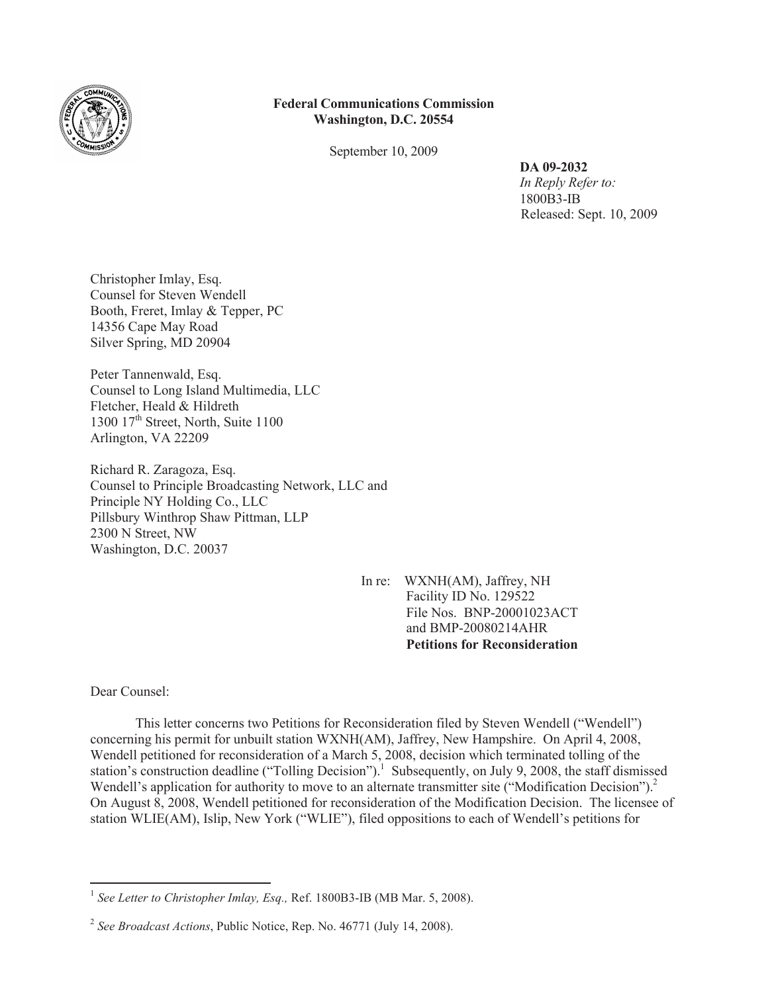

## **Federal Communications Commission Washington, D.C. 20554**

September 10, 2009

**DA 09-2032**

*In Reply Refer to:* 1800B3-IB Released: Sept. 10, 2009

Christopher Imlay, Esq. Counsel for Steven Wendell Booth, Freret, Imlay & Tepper, PC 14356 Cape May Road Silver Spring, MD 20904

Peter Tannenwald, Esq. Counsel to Long Island Multimedia, LLC Fletcher, Heald & Hildreth 1300  $17<sup>th</sup>$  Street, North, Suite 1100 Arlington, VA 22209

Richard R. Zaragoza, Esq. Counsel to Principle Broadcasting Network, LLC and Principle NY Holding Co., LLC Pillsbury Winthrop Shaw Pittman, LLP 2300 N Street, NW Washington, D.C. 20037

> In re: WXNH(AM), Jaffrey, NH Facility ID No. 129522 File Nos. BNP-20001023ACT and BMP-20080214AHR **Petitions for Reconsideration**

Dear Counsel:

This letter concerns two Petitions for Reconsideration filed by Steven Wendell ("Wendell") concerning his permit for unbuilt station WXNH(AM), Jaffrey, New Hampshire. On April 4, 2008, Wendell petitioned for reconsideration of a March 5, 2008, decision which terminated tolling of the station's construction deadline ("Tolling Decision").<sup>1</sup> Subsequently, on July 9, 2008, the staff dismissed Wendell's application for authority to move to an alternate transmitter site ("Modification Decision").<sup>2</sup> On August 8, 2008, Wendell petitioned for reconsideration of the Modification Decision. The licensee of station WLIE(AM), Islip, New York ("WLIE"), filed oppositions to each of Wendell's petitions for

<sup>&</sup>lt;sup>1</sup> See Letter to Christopher Imlay, Esq., Ref. 1800B3-IB (MB Mar. 5, 2008).

<sup>2</sup> *See Broadcast Actions*, Public Notice, Rep. No. 46771 (July 14, 2008).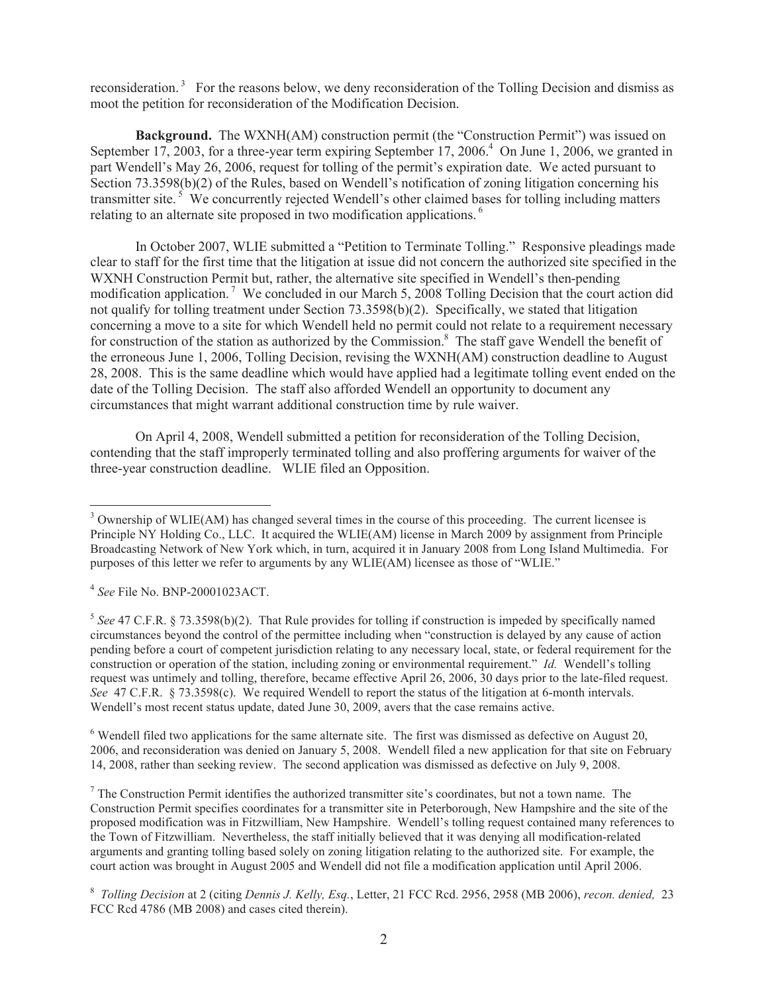reconsideration.<sup>3</sup> For the reasons below, we deny reconsideration of the Tolling Decision and dismiss as moot the petition for reconsideration of the Modification Decision.

**Background.** The WXNH(AM) construction permit (the "Construction Permit") was issued on September 17, 2003, for a three-year term expiring September 17, 2006.<sup>4</sup> On June 1, 2006, we granted in part Wendell's May 26, 2006, request for tolling of the permit's expiration date. We acted pursuant to Section 73.3598(b)(2) of the Rules, based on Wendell's notification of zoning litigation concerning his transmitter site.<sup>5</sup> We concurrently rejected Wendell's other claimed bases for tolling including matters relating to an alternate site proposed in two modification applications. <sup>6</sup>

In October 2007, WLIE submitted a "Petition to Terminate Tolling." Responsive pleadings made clear to staff for the first time that the litigation at issue did not concern the authorized site specified in the WXNH Construction Permit but, rather, the alternative site specified in Wendell's then-pending modification application.<sup>7</sup> We concluded in our March 5, 2008 Tolling Decision that the court action did not qualify for tolling treatment under Section 73.3598(b)(2). Specifically, we stated that litigation concerning a move to a site for which Wendell held no permit could not relate to a requirement necessary for construction of the station as authorized by the Commission.<sup>8</sup> The staff gave Wendell the benefit of the erroneous June 1, 2006, Tolling Decision, revising the WXNH(AM) construction deadline to August 28, 2008. This is the same deadline which would have applied had a legitimate tolling event ended on the date of the Tolling Decision. The staff also afforded Wendell an opportunity to document any circumstances that might warrant additional construction time by rule waiver.

On April 4, 2008, Wendell submitted a petition for reconsideration of the Tolling Decision, contending that the staff improperly terminated tolling and also proffering arguments for waiver of the three-year construction deadline. WLIE filed an Opposition.

<sup>6</sup> Wendell filed two applications for the same alternate site. The first was dismissed as defective on August 20, 2006, and reconsideration was denied on January 5, 2008. Wendell filed a new application for that site on February 14, 2008, rather than seeking review. The second application was dismissed as defective on July 9, 2008.

 $<sup>7</sup>$  The Construction Permit identifies the authorized transmitter site's coordinates, but not a town name. The</sup> Construction Permit specifies coordinates for a transmitter site in Peterborough, New Hampshire and the site of the proposed modification was in Fitzwilliam, New Hampshire. Wendell's tolling request contained many references to the Town of Fitzwilliam. Nevertheless, the staff initially believed that it was denying all modification-related arguments and granting tolling based solely on zoning litigation relating to the authorized site. For example, the court action was brought in August 2005 and Wendell did not file a modification application until April 2006.

<sup>&</sup>lt;sup>3</sup> Ownership of WLIE(AM) has changed several times in the course of this proceeding. The current licensee is Principle NY Holding Co., LLC. It acquired the WLIE(AM) license in March 2009 by assignment from Principle Broadcasting Network of New York which, in turn, acquired it in January 2008 from Long Island Multimedia. For purposes of this letter we refer to arguments by any WLIE(AM) licensee as those of "WLIE."

<sup>4</sup> *See* File No. BNP-20001023ACT.

 $<sup>5</sup>$  See 47 C.F.R. § 73.3598(b)(2). That Rule provides for tolling if construction is impeded by specifically named</sup> circumstances beyond the control of the permittee including when "construction is delayed by any cause of action pending before a court of competent jurisdiction relating to any necessary local, state, or federal requirement for the construction or operation of the station, including zoning or environmental requirement." *Id.* Wendell's tolling request was untimely and tolling, therefore, became effective April 26, 2006, 30 days prior to the late-filed request. *See* 47 C.F.R. § 73.3598(c). We required Wendell to report the status of the litigation at 6-month intervals. Wendell's most recent status update, dated June 30, 2009, avers that the case remains active.

<sup>8</sup> *Tolling Decision* at 2 (citing *Dennis J. Kelly, Esq.*, Letter, 21 FCC Rcd. 2956, 2958 (MB 2006), *recon. denied,* 23 FCC Rcd 4786 (MB 2008) and cases cited therein).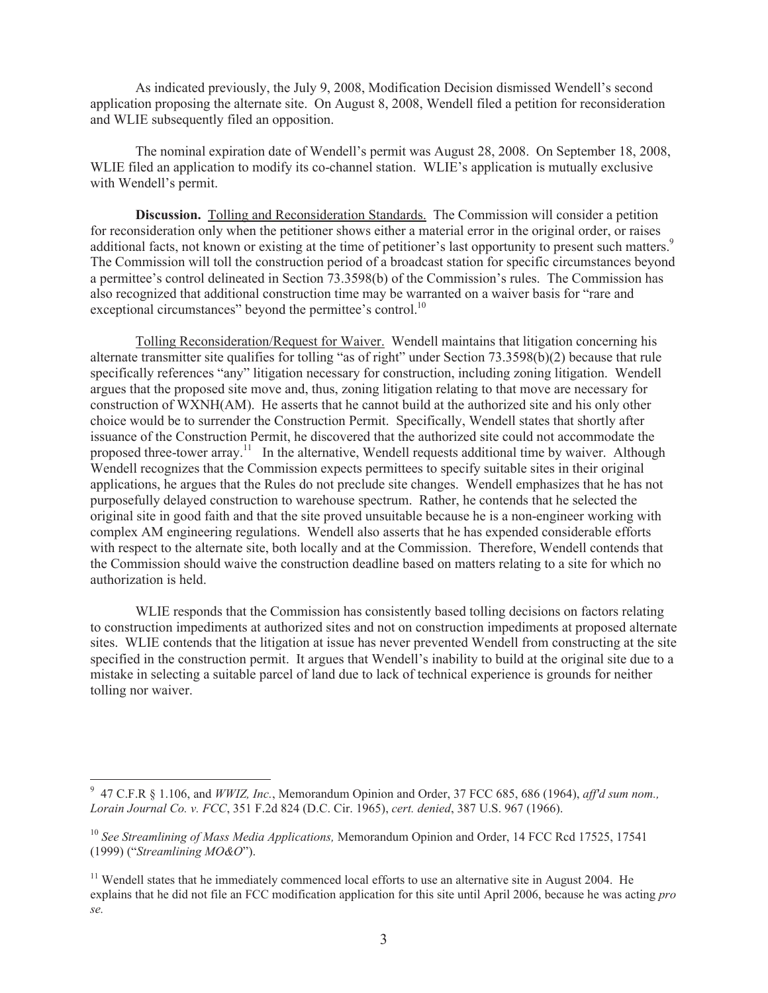As indicated previously, the July 9, 2008, Modification Decision dismissed Wendell's second application proposing the alternate site. On August 8, 2008, Wendell filed a petition for reconsideration and WLIE subsequently filed an opposition.

The nominal expiration date of Wendell's permit was August 28, 2008. On September 18, 2008, WLIE filed an application to modify its co-channel station. WLIE's application is mutually exclusive with Wendell's permit.

**Discussion.** Tolling and Reconsideration Standards. The Commission will consider a petition for reconsideration only when the petitioner shows either a material error in the original order, or raises additional facts, not known or existing at the time of petitioner's last opportunity to present such matters.<sup>9</sup> The Commission will toll the construction period of a broadcast station for specific circumstances beyond a permittee's control delineated in Section 73.3598(b) of the Commission's rules. The Commission has also recognized that additional construction time may be warranted on a waiver basis for "rare and exceptional circumstances" beyond the permittee's control.<sup>10</sup>

Tolling Reconsideration/Request for Waiver. Wendell maintains that litigation concerning his alternate transmitter site qualifies for tolling "as of right" under Section 73.3598(b)(2) because that rule specifically references "any" litigation necessary for construction, including zoning litigation. Wendell argues that the proposed site move and, thus, zoning litigation relating to that move are necessary for construction of WXNH(AM). He asserts that he cannot build at the authorized site and his only other choice would be to surrender the Construction Permit. Specifically, Wendell states that shortly after issuance of the Construction Permit, he discovered that the authorized site could not accommodate the proposed three-tower array.<sup>11</sup> In the alternative, Wendell requests additional time by waiver. Although Wendell recognizes that the Commission expects permittees to specify suitable sites in their original applications, he argues that the Rules do not preclude site changes. Wendell emphasizes that he has not purposefully delayed construction to warehouse spectrum. Rather, he contends that he selected the original site in good faith and that the site proved unsuitable because he is a non-engineer working with complex AM engineering regulations. Wendell also asserts that he has expended considerable efforts with respect to the alternate site, both locally and at the Commission. Therefore, Wendell contends that the Commission should waive the construction deadline based on matters relating to a site for which no authorization is held.

WLIE responds that the Commission has consistently based tolling decisions on factors relating to construction impediments at authorized sites and not on construction impediments at proposed alternate sites. WLIE contends that the litigation at issue has never prevented Wendell from constructing at the site specified in the construction permit. It argues that Wendell's inability to build at the original site due to a mistake in selecting a suitable parcel of land due to lack of technical experience is grounds for neither tolling nor waiver.

<sup>9</sup> 47 C.F.R § 1.106, and *WWIZ, Inc.*, Memorandum Opinion and Order, 37 FCC 685, 686 (1964), *aff'd sum nom., Lorain Journal Co. v. FCC*, 351 F.2d 824 (D.C. Cir. 1965), *cert. denied*, 387 U.S. 967 (1966).

<sup>10</sup> *See Streamlining of Mass Media Applications,* Memorandum Opinion and Order, 14 FCC Rcd 17525, 17541 (1999) ("*Streamlining MO&O*").

<sup>&</sup>lt;sup>11</sup> Wendell states that he immediately commenced local efforts to use an alternative site in August 2004. He explains that he did not file an FCC modification application for this site until April 2006, because he was acting *pro se.*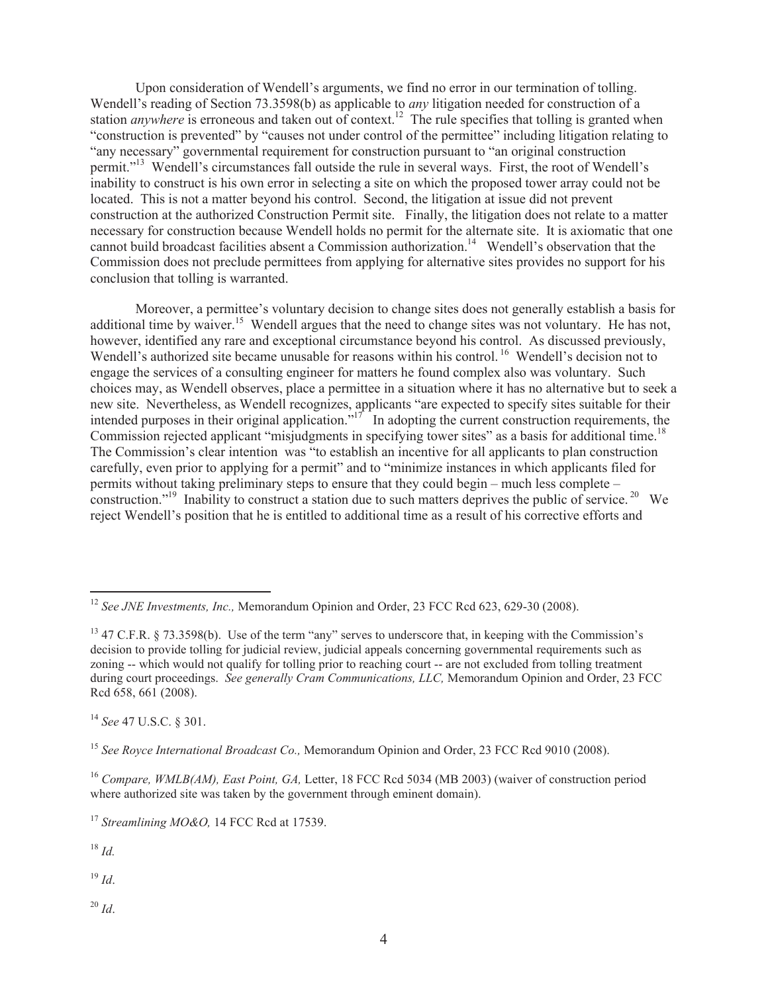Upon consideration of Wendell's arguments, we find no error in our termination of tolling. Wendell's reading of Section 73.3598(b) as applicable to *any* litigation needed for construction of a station *anywhere* is erroneous and taken out of context.<sup>12</sup> The rule specifies that tolling is granted when "construction is prevented" by "causes not under control of the permittee" including litigation relating to "any necessary" governmental requirement for construction pursuant to "an original construction permit."<sup>13</sup> Wendell's circumstances fall outside the rule in several ways. First, the root of Wendell's inability to construct is his own error in selecting a site on which the proposed tower array could not be located. This is not a matter beyond his control. Second, the litigation at issue did not prevent construction at the authorized Construction Permit site. Finally, the litigation does not relate to a matter necessary for construction because Wendell holds no permit for the alternate site. It is axiomatic that one cannot build broadcast facilities absent a Commission authorization.<sup>14</sup> Wendell's observation that the Commission does not preclude permittees from applying for alternative sites provides no support for his conclusion that tolling is warranted.

Moreover, a permittee's voluntary decision to change sites does not generally establish a basis for additional time by waiver.<sup>15</sup> Wendell argues that the need to change sites was not voluntary. He has not, however, identified any rare and exceptional circumstance beyond his control. As discussed previously, Wendell's authorized site became unusable for reasons within his control.<sup>16</sup> Wendell's decision not to engage the services of a consulting engineer for matters he found complex also was voluntary. Such choices may, as Wendell observes, place a permittee in a situation where it has no alternative but to seek a new site. Nevertheless, as Wendell recognizes, applicants "are expected to specify sites suitable for their intended purposes in their original application."<sup>17</sup> In adopting the current construction requirements, the Commission rejected applicant "misjudgments in specifying tower sites" as a basis for additional time.<sup>18</sup> The Commission's clear intention was "to establish an incentive for all applicants to plan construction carefully, even prior to applying for a permit" and to "minimize instances in which applicants filed for permits without taking preliminary steps to ensure that they could begin – much less complete – construction."<sup>19</sup> Inability to construct a station due to such matters deprives the public of service.<sup>20</sup> We reject Wendell's position that he is entitled to additional time as a result of his corrective efforts and

<sup>14</sup> *See* 47 U.S.C. § 301.

<sup>15</sup> *See Royce International Broadcast Co.,* Memorandum Opinion and Order, 23 FCC Rcd 9010 (2008).

<sup>16</sup> *Compare, WMLB(AM), East Point, GA,* Letter, 18 FCC Rcd 5034 (MB 2003) (waiver of construction period where authorized site was taken by the government through eminent domain).

<sup>17</sup> *Streamlining MO&O,* 14 FCC Rcd at 17539.

<sup>18</sup> *Id.* 

<sup>19</sup> *Id*.

<sup>20</sup> *Id*.

<sup>&</sup>lt;sup>12</sup> *See JNE Investments, Inc., Memorandum Opinion and Order, 23 FCC Rcd 623, 629-30 (2008).* 

<sup>&</sup>lt;sup>13</sup> 47 C.F.R. § 73.3598(b). Use of the term "any" serves to underscore that, in keeping with the Commission's decision to provide tolling for judicial review, judicial appeals concerning governmental requirements such as zoning -- which would not qualify for tolling prior to reaching court -- are not excluded from tolling treatment during court proceedings. *See generally Cram Communications, LLC,* Memorandum Opinion and Order, 23 FCC Rcd 658, 661 (2008).